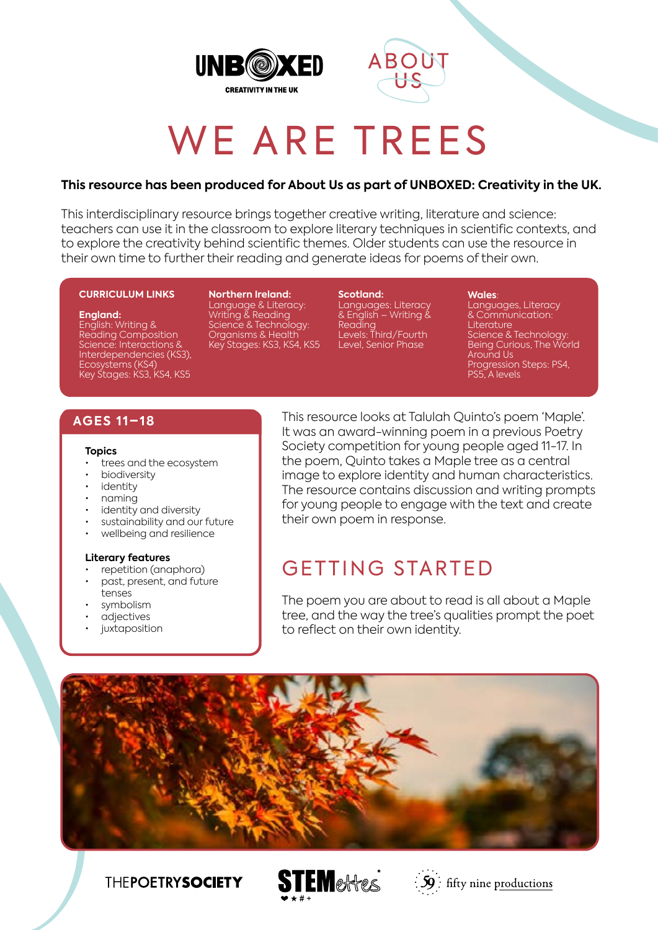



# WE ARE TREES

#### **This resource has been produced for About Us as part of UNBOXED: Creativity in the UK.**

This interdisciplinary resource brings together creative writing, literature and science: teachers can use it in the classroom to explore literary techniques in scientific contexts, and to explore the creativity behind scientific themes. Older students can use the resource in their own time to further their reading and generate ideas for poems of their own.

#### **CURRICULUM LINKS**

#### **England:**

English: Writing & Reading Composition Science: Interactions & Interdependencies (KS3), Ecosystems (KS4) Key Stages: KS3, KS4, KS5

**Northern Ireland:** Language & Literacy: Writing & Reading Science & Technology: Organisms & Health Key Stages: KS3, KS4, KS5

**Scotland:** Languages: Literacy & English – Writing & Reading Levels: Third/Fourth Level, Senior Phase

#### **Wales**:

Languages, Literacy & Communication: **Literature** Science & Technology: Being Curious, The World Around Us Progression Steps: PS4, PS5, A levels

#### **AGES 11–18**

#### **Topics**

- trees and the ecosystem
- biodiversity
- identity
- naming
- identity and diversity
- sustainability and our future
- wellbeing and resilience

#### **Literary features**

- repetition (anaphora)
- past, present, and future tenses
- symbolism
- adjectives
- *juxtaposition*

This resource looks at Talulah Quinto's poem 'Maple'. It was an award-winning poem in a previous Poetry Society competition for young people aged 11-17. In the poem, Quinto takes a Maple tree as a central image to explore identity and human characteristics. The resource contains discussion and writing prompts for young people to engage with the text and create their own poem in response.

# GETTING STARTED

The poem you are about to read is all about a Maple tree, and the way the tree's qualities prompt the poet to reflect on their own identity.



### **THEPOETRYSOCIETY**



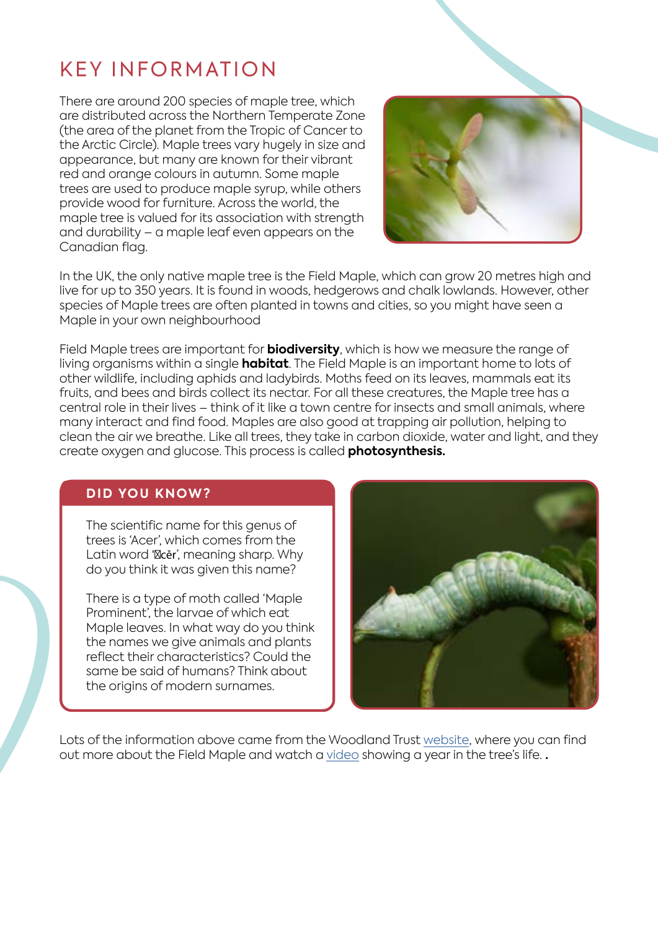# KEY INFORMATION

There are around 200 species of maple tree, which are distributed across the Northern Temperate Zone (the area of the planet from the Tropic of Cancer to the Arctic Circle). Maple trees vary hugely in size and appearance, but many are known for their vibrant red and orange colours in autumn. Some maple trees are used to produce maple syrup, while others provide wood for furniture. Across the world, the maple tree is valued for its association with strength and durability – a maple leaf even appears on the Canadian flag.



In the UK, the only native maple tree is the Field Maple, which can grow 20 metres high and live for up to 350 years. It is found in woods, hedgerows and chalk lowlands. However, other species of Maple trees are often planted in towns and cities, so you might have seen a Maple in your own neighbourhood

Field Maple trees are important for **biodiversity**, which is how we measure the range of living organisms within a single **habitat**. The Field Maple is an important home to lots of other wildlife, including aphids and ladybirds. Moths feed on its leaves, mammals eat its fruits, and bees and birds collect its nectar. For all these creatures, the Maple tree has a central role in their lives – think of it like a town centre for insects and small animals, where many interact and find food. Maples are also good at trapping air pollution, helping to clean the air we breathe. Like all trees, they take in carbon dioxide, water and light, and they create oxygen and glucose. This process is called **photosynthesis.** 

### **DID YOU KNOW?**

The scientific name for this genus of trees is 'Acer', which comes from the Latin word ' cěr', meaning sharp. Why do you think it was given this name?

There is a type of moth called 'Maple Prominent', the larvae of which eat Maple leaves. In what way do you think the names we give animals and plants reflect their characteristics? Could the same be said of humans? Think about the origins of modern surnames.



Lots of the information above came from the Woodland Trust [website](https://www.woodlandtrust.org.uk/trees-woods-and-wildlife/british-trees/a-z-of-british-trees/field-maple/), where you can find out more about the Field Maple and watch a [video](https://www.youtube.com/watch?v=DxuP3iC1Wao) showing a year in the tree's life. **.**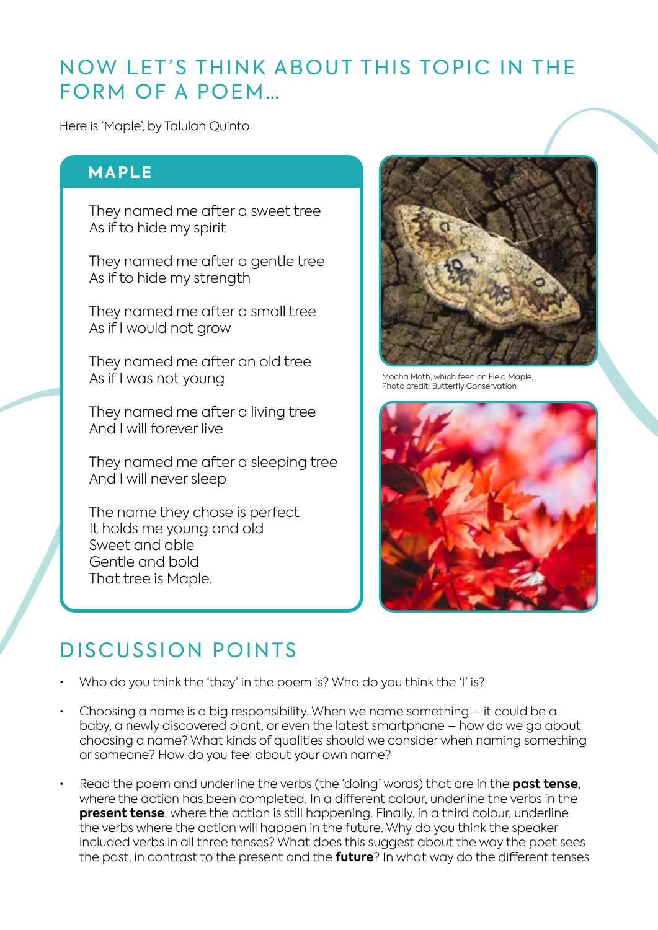## NOW LET'S THINK ABOUT THIS TOPIC IN THE FORM OF A POEM…

Here is 'Maple', by Talulah Quinto

### **MAPLE**

They named me after a sweet tree As if to hide my spirit

They named me after a gentle tree As if to hide my strength

They named me after a small tree As if I would not grow

They named me after an old tree As if I was not young

They named me after a living tree And I will forever live

They named me after a sleeping tree And I will never sleep

The name they chose is perfect It holds me young and old Sweet and able Gentle and bold That tree is Maple.



Mocha Moth, which feed on Field Maple. Photo credit: Butterfly Conservation



### DISCUSSION POINTS

- Who do you think the 'they' in the poem is? Who do you think the 'I' is?
- Choosing a name is a big responsibility. When we name something it could be a baby, a newly discovered plant, or even the latest smartphone – how do we go about choosing a name? What kinds of qualities should we consider when naming something or someone? How do you feel about your own name?
- Read the poem and underline the verbs (the 'doing' words) that are in the **past tense**, where the action has been completed. In a different colour, underline the verbs in the **present tense**, where the action is still happening. Finally, in a third colour, underline the verbs where the action will happen in the future. Why do you think the speaker included verbs in all three tenses? What does this suggest about the way the poet sees the past, in contrast to the present and the **future**? In what way do the different tenses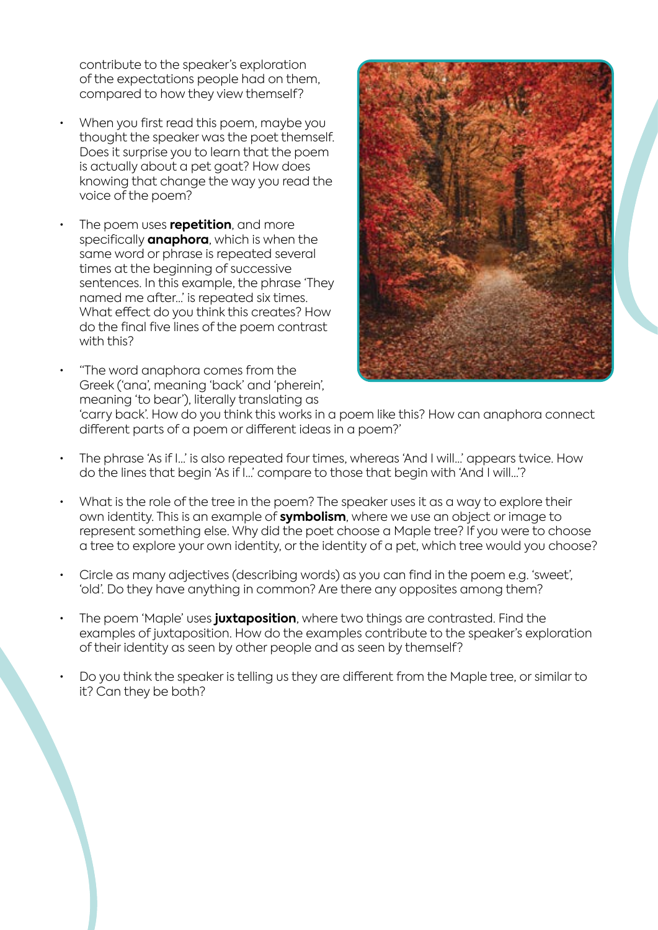contribute to the speaker's exploration of the expectations people had on them, compared to how they view themself?

- When you first read this poem, maybe you thought the speaker was the poet themself. Does it surprise you to learn that the poem is actually about a pet goat? How does knowing that change the way you read the voice of the poem?
- The poem uses **repetition**, and more specifically **anaphora**, which is when the same word or phrase is repeated several times at the beginning of successive sentences. In this example, the phrase 'They named me after…' is repeated six times. What effect do you think this creates? How do the final five lines of the poem contrast with this?
- "The word anaphora comes from the Greek ('ana', meaning 'back' and 'pherein', meaning 'to bear'), literally translating as



'carry back'. How do you think this works in a poem like this? How can anaphora connect different parts of a poem or different ideas in a poem?'

- The phrase 'As if I…' is also repeated four times, whereas 'And I will…' appears twice. How do the lines that begin 'As if I…' compare to those that begin with 'And I will…'?
- What is the role of the tree in the poem? The speaker uses it as a way to explore their own identity. This is an example of **symbolism**, where we use an object or image to represent something else. Why did the poet choose a Maple tree? If you were to choose a tree to explore your own identity, or the identity of a pet, which tree would you choose?
- Circle as many adjectives (describing words) as you can find in the poem e.g. 'sweet', 'old'. Do they have anything in common? Are there any opposites among them?
- The poem 'Maple' uses **juxtaposition**, where two things are contrasted. Find the examples of juxtaposition. How do the examples contribute to the speaker's exploration of their identity as seen by other people and as seen by themself?
- Do you think the speaker is telling us they are different from the Maple tree, or similar to it? Can they be both?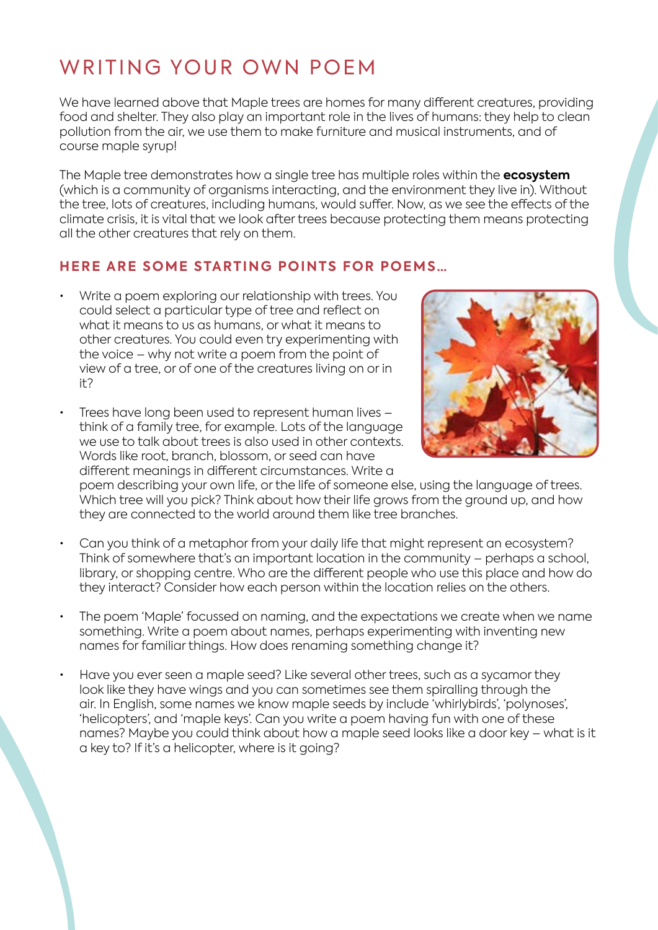# WRITING YOUR OWN POEM

We have learned above that Maple trees are homes for many different creatures, providing food and shelter. They also play an important role in the lives of humans: they help to clean pollution from the air, we use them to make furniture and musical instruments, and of course maple syrup!

The Maple tree demonstrates how a single tree has multiple roles within the **ecosystem**  (which is a community of organisms interacting, and the environment they live in). Without the tree, lots of creatures, including humans, would suffer. Now, as we see the effects of the climate crisis, it is vital that we look after trees because protecting them means protecting all the other creatures that rely on them.

### **HERE ARE SOME STARTING POINTS FOR POEMS…**

- Write a poem exploring our relationship with trees. You could select a particular type of tree and reflect on what it means to us as humans, or what it means to other creatures. You could even try experimenting with the voice – why not write a poem from the point of view of a tree, or of one of the creatures living on or in it?
- Trees have long been used to represent human lives think of a family tree, for example. Lots of the language we use to talk about trees is also used in other contexts. Words like root, branch, blossom, or seed can have different meanings in different circumstances. Write a



poem describing your own life, or the life of someone else, using the language of trees. Which tree will you pick? Think about how their life grows from the ground up, and how they are connected to the world around them like tree branches.

- Can you think of a metaphor from your daily life that might represent an ecosystem? Think of somewhere that's an important location in the community – perhaps a school, library, or shopping centre. Who are the different people who use this place and how do they interact? Consider how each person within the location relies on the others.
- The poem 'Maple' focussed on naming, and the expectations we create when we name something. Write a poem about names, perhaps experimenting with inventing new names for familiar things. How does renaming something change it?
- Have you ever seen a maple seed? Like several other trees, such as a sycamor they look like they have wings and you can sometimes see them spiralling through the air. In English, some names we know maple seeds by include 'whirlybirds', 'polynoses', 'helicopters', and 'maple keys'. Can you write a poem having fun with one of these names? Maybe you could think about how a maple seed looks like a door key – what is it a key to? If it's a helicopter, where is it going?